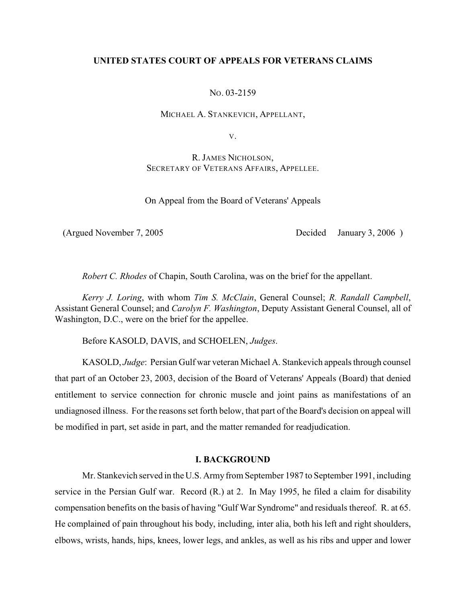## **UNITED STATES COURT OF APPEALS FOR VETERANS CLAIMS**

NO. 03-2159

MICHAEL A. STANKEVICH, APPELLANT,

V.

R. JAMES NICHOLSON, SECRETARY OF VETERANS AFFAIRS, APPELLEE.

On Appeal from the Board of Veterans' Appeals

(Argued November 7, 2005 Decided January 3, 2006 )

*Robert C. Rhodes* of Chapin, South Carolina, was on the brief for the appellant.

*Kerry J. Loring*, with whom *Tim S. McClain*, General Counsel; *R. Randall Campbell*, Assistant General Counsel; and *Carolyn F. Washington*, Deputy Assistant General Counsel, all of Washington, D.C., were on the brief for the appellee.

Before KASOLD, DAVIS, and SCHOELEN, *Judges*.

KASOLD, *Judge*: Persian Gulf war veteran Michael A. Stankevich appeals through counsel that part of an October 23, 2003, decision of the Board of Veterans' Appeals (Board) that denied entitlement to service connection for chronic muscle and joint pains as manifestations of an undiagnosed illness. For the reasons set forth below, that part of the Board's decision on appeal will be modified in part, set aside in part, and the matter remanded for readjudication.

#### **I. BACKGROUND**

Mr. Stankevich served in the U.S. Army from September 1987 to September 1991, including service in the Persian Gulf war. Record (R.) at 2. In May 1995, he filed a claim for disability compensation benefits on the basis of having "Gulf War Syndrome" and residuals thereof. R. at 65. He complained of pain throughout his body, including, inter alia, both his left and right shoulders, elbows, wrists, hands, hips, knees, lower legs, and ankles, as well as his ribs and upper and lower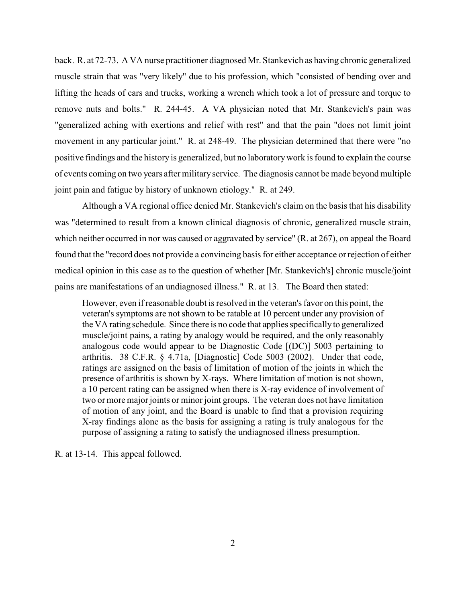back. R. at 72-73. A VA nurse practitioner diagnosed Mr. Stankevich as having chronic generalized muscle strain that was "very likely" due to his profession, which "consisted of bending over and lifting the heads of cars and trucks, working a wrench which took a lot of pressure and torque to remove nuts and bolts." R. 244-45. A VA physician noted that Mr. Stankevich's pain was "generalized aching with exertions and relief with rest" and that the pain "does not limit joint movement in any particular joint." R. at 248-49. The physician determined that there were "no positive findings and the history is generalized, but no laboratory work is found to explain the course of events coming on two years after military service. The diagnosis cannot be made beyond multiple joint pain and fatigue by history of unknown etiology." R. at 249.

Although a VA regional office denied Mr. Stankevich's claim on the basis that his disability was "determined to result from a known clinical diagnosis of chronic, generalized muscle strain, which neither occurred in nor was caused or aggravated by service" (R. at 267), on appeal the Board found that the "record does not provide a convincing basis for either acceptance or rejection of either medical opinion in this case as to the question of whether [Mr. Stankevich's] chronic muscle/joint pains are manifestations of an undiagnosed illness." R. at 13. The Board then stated:

However, even if reasonable doubt is resolved in the veteran's favor on this point, the veteran's symptoms are not shown to be ratable at 10 percent under any provision of the VA rating schedule. Since there is no code that applies specifically to generalized muscle/joint pains, a rating by analogy would be required, and the only reasonably analogous code would appear to be Diagnostic Code [(DC)] 5003 pertaining to arthritis. 38 C.F.R. § 4.71a, [Diagnostic] Code 5003 (2002). Under that code, ratings are assigned on the basis of limitation of motion of the joints in which the presence of arthritis is shown by X-rays. Where limitation of motion is not shown, a 10 percent rating can be assigned when there is X-ray evidence of involvement of two or more major joints or minor joint groups. The veteran does not have limitation of motion of any joint, and the Board is unable to find that a provision requiring X-ray findings alone as the basis for assigning a rating is truly analogous for the purpose of assigning a rating to satisfy the undiagnosed illness presumption.

R. at 13-14. This appeal followed.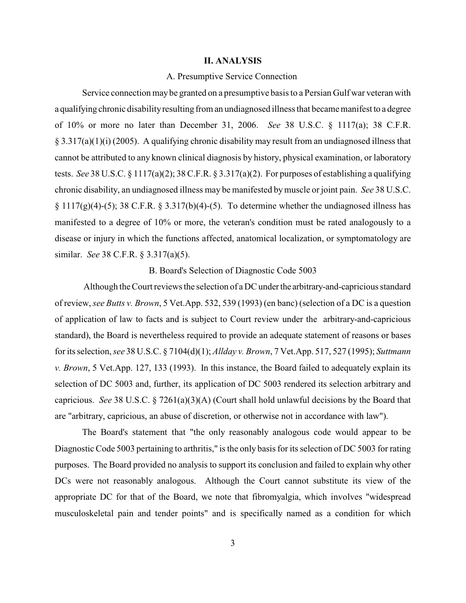#### **II. ANALYSIS**

### A. Presumptive Service Connection

Service connection may be granted on a presumptive basisto a Persian Gulf war veteran with a qualifying chronic disability resulting from an undiagnosed illness that became manifest to a degree of 10% or more no later than December 31, 2006. *See* 38 U.S.C. § 1117(a); 38 C.F.R.  $\S 3.317(a)(1)(i)$  (2005). A qualifying chronic disability may result from an undiagnosed illness that cannot be attributed to any known clinical diagnosis by history, physical examination, or laboratory tests. *See* 38 U.S.C. § 1117(a)(2); 38 C.F.R. § 3.317(a)(2). For purposes of establishing a qualifying chronic disability, an undiagnosed illness may be manifested bymuscle or joint pain. *See* 38 U.S.C.  $\S 1117(g)(4)-(5)$ ; 38 C.F.R.  $\S 3.317(b)(4)-(5)$ . To determine whether the undiagnosed illness has manifested to a degree of 10% or more, the veteran's condition must be rated analogously to a disease or injury in which the functions affected, anatomical localization, or symptomatology are similar. *See* 38 C.F.R. § 3.317(a)(5).

B. Board's Selection of Diagnostic Code 5003

 Although the Court reviews the selection of a DC under the arbitrary-and-capricious standard of review, *see Butts v. Brown*, 5 Vet.App. 532, 539 (1993) (en banc) (selection of a DC is a question of application of law to facts and is subject to Court review under the arbitrary-and-capricious standard), the Board is nevertheless required to provide an adequate statement of reasons or bases for its selection, *see* 38 U.S.C. § 7104(d)(1); *Allday v. Brown*, 7 Vet.App. 517, 527 (1995); *Suttmann v. Brown*, 5 Vet.App. 127, 133 (1993). In this instance, the Board failed to adequately explain its selection of DC 5003 and, further, its application of DC 5003 rendered its selection arbitrary and capricious. *See* 38 U.S.C. § 7261(a)(3)(A) (Court shall hold unlawful decisions by the Board that are "arbitrary, capricious, an abuse of discretion, or otherwise not in accordance with law").

The Board's statement that "the only reasonably analogous code would appear to be Diagnostic Code 5003 pertaining to arthritis," is the only basis for its selection of DC 5003 for rating purposes. The Board provided no analysis to support its conclusion and failed to explain why other DCs were not reasonably analogous. Although the Court cannot substitute its view of the appropriate DC for that of the Board, we note that fibromyalgia, which involves "widespread musculoskeletal pain and tender points" and is specifically named as a condition for which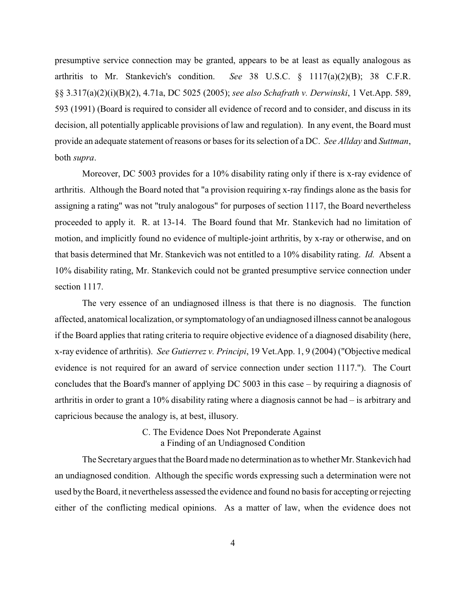presumptive service connection may be granted, appears to be at least as equally analogous as arthritis to Mr. Stankevich's condition. *See* 38 U.S.C. § 1117(a)(2)(B); 38 C.F.R. §§ 3.317(a)(2)(i)(B)(2), 4.71a, DC 5025 (2005); *see also Schafrath v. Derwinski*, 1 Vet.App. 589, 593 (1991) (Board is required to consider all evidence of record and to consider, and discuss in its decision, all potentially applicable provisions of law and regulation). In any event, the Board must provide an adequate statement of reasons or bases for its selection of a DC. *See Allday* and *Suttman*, both *supra*.

Moreover, DC 5003 provides for a 10% disability rating only if there is x-ray evidence of arthritis. Although the Board noted that "a provision requiring x-ray findings alone as the basis for assigning a rating" was not "truly analogous" for purposes of section 1117, the Board nevertheless proceeded to apply it. R. at 13-14. The Board found that Mr. Stankevich had no limitation of motion, and implicitly found no evidence of multiple-joint arthritis, by x-ray or otherwise, and on that basis determined that Mr. Stankevich was not entitled to a 10% disability rating. *Id.* Absent a 10% disability rating, Mr. Stankevich could not be granted presumptive service connection under section 1117.

The very essence of an undiagnosed illness is that there is no diagnosis. The function affected, anatomical localization, or symptomatology of an undiagnosed illness cannot be analogous if the Board applies that rating criteria to require objective evidence of a diagnosed disability (here, x-ray evidence of arthritis). *See Gutierrez v. Principi*, 19 Vet.App. 1, 9 (2004) ("Objective medical evidence is not required for an award of service connection under section 1117."). The Court concludes that the Board's manner of applying DC 5003 in this case – by requiring a diagnosis of arthritis in order to grant a 10% disability rating where a diagnosis cannot be had – is arbitrary and capricious because the analogy is, at best, illusory.

# C. The Evidence Does Not Preponderate Against a Finding of an Undiagnosed Condition

The Secretary argues that the Board made no determination as to whether Mr. Stankevich had an undiagnosed condition. Although the specific words expressing such a determination were not used by the Board, it nevertheless assessed the evidence and found no basis for accepting or rejecting either of the conflicting medical opinions. As a matter of law, when the evidence does not